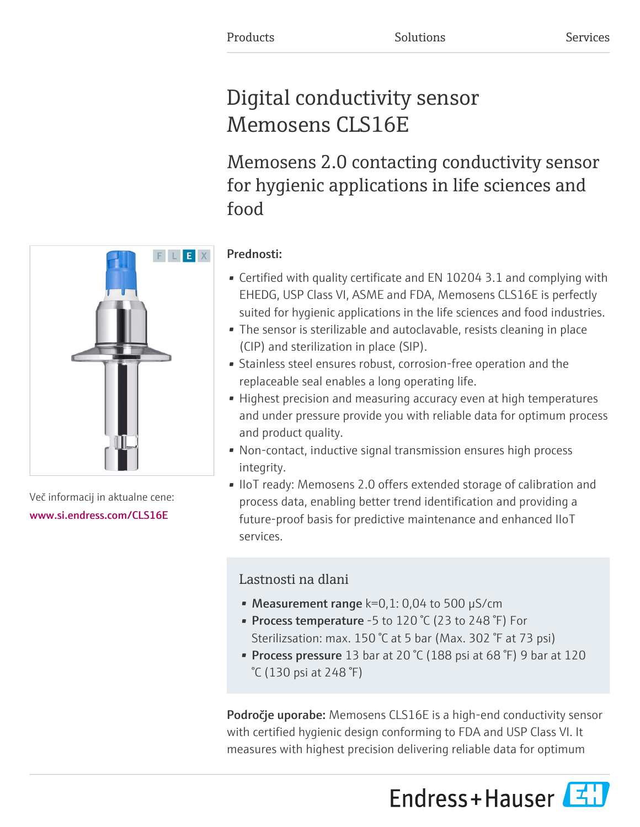# Digital conductivity sensor Memosens CLS16E

Memosens 2.0 contacting conductivity sensor for hygienic applications in life sciences and food

# F L E X

Več informacij in aktualne cene: [www.si.endress.com/CLS16E](https://www.si.endress.com/CLS16E)

# Prednosti:

- Certified with quality certificate and EN 10204 3.1 and complying with EHEDG, USP Class VI, ASME and FDA, Memosens CLS16E is perfectly suited for hygienic applications in the life sciences and food industries.
- The sensor is sterilizable and autoclavable, resists cleaning in place (CIP) and sterilization in place (SIP).
- Stainless steel ensures robust, corrosion-free operation and the replaceable seal enables a long operating life.
- Highest precision and measuring accuracy even at high temperatures and under pressure provide you with reliable data for optimum process and product quality.
- Non-contact, inductive signal transmission ensures high process integrity.
- IIoT ready: Memosens 2.0 offers extended storage of calibration and process data, enabling better trend identification and providing a future-proof basis for predictive maintenance and enhanced IIoT services.

# Lastnosti na dlani

- Measurement range  $k=0,1:0,04$  to 500  $\mu$ S/cm
- Process temperature -5 to 120 °C (23 to 248 °F) For Sterilizsation: max. 150 °C at 5 bar (Max. 302 °F at 73 psi)
- Process pressure 13 bar at 20  $°C$  (188 psi at 68  $°F$ ) 9 bar at 120 °C (130 psi at 248 °F)

Področje uporabe: Memosens CLS16E is a high-end conductivity sensor with certified hygienic design conforming to FDA and USP Class VI. It measures with highest precision delivering reliable data for optimum

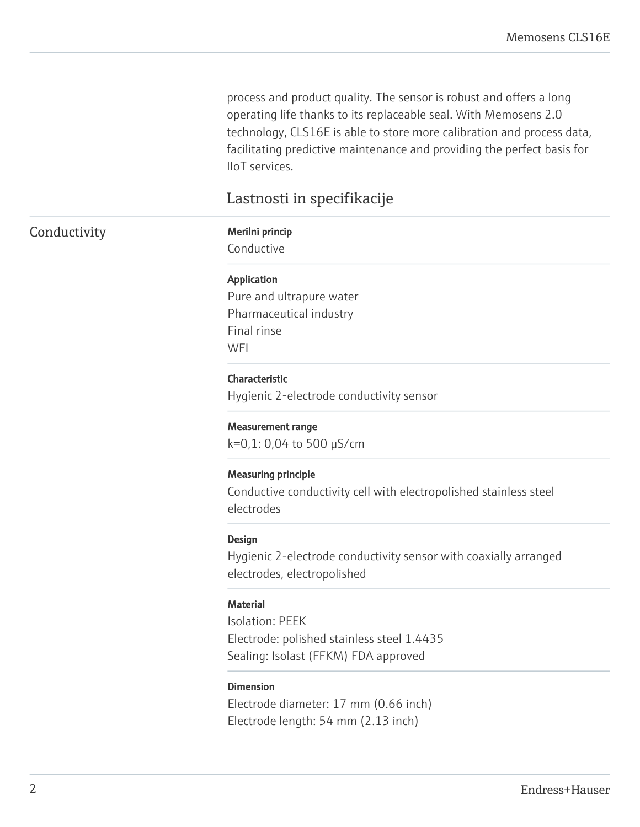process and product quality. The sensor is robust and offers a long operating life thanks to its replaceable seal. With Memosens 2.0 technology, CLS16E is able to store more calibration and process data, facilitating predictive maintenance and providing the perfect basis for IIoT services.

# Lastnosti in specifikacije

## Conductivity Merilni princip

Conductive

### Application

Pure and ultrapure water Pharmaceutical industry Final rinse **WFI** 

### Characteristic

Hygienic 2-electrode conductivity sensor

### Measurement range

k=0,1: 0,04 to 500 µS/cm

### Measuring principle

Conductive conductivity cell with electropolished stainless steel electrodes

### Design

Hygienic 2-electrode conductivity sensor with coaxially arranged electrodes, electropolished

### **Material**

Isolation: PEEK Electrode: polished stainless steel 1.4435 Sealing: Isolast (FFKM) FDA approved

### Dimension

Electrode diameter: 17 mm (0.66 inch) Electrode length: 54 mm (2.13 inch)